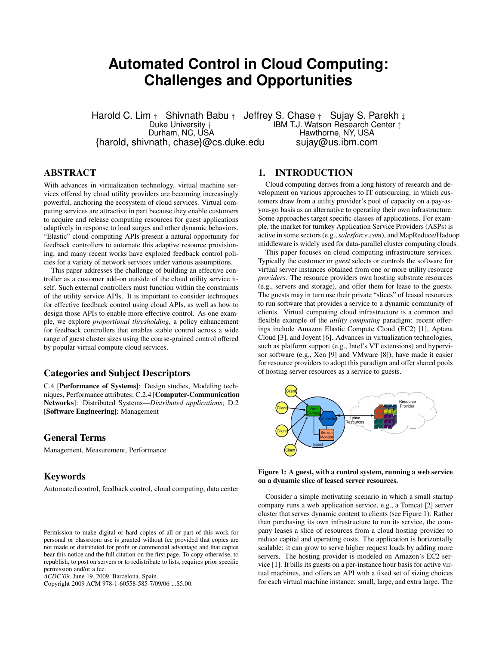# **Automated Control in Cloud Computing: Challenges and Opportunities**

Harold C. Lim  $\dagger$  Shivnath Babu  $\dagger$  Jeffrey S. Chase  $\dagger$  Sujay S. Parekh  $\dagger$ <br>Duke University  $\dagger$  IBM T.J. Watson Research Center  $\dagger$ Duke University † **IBM T.J. Watson Research Center ‡**<br>Durham, NC, USA **IDM T.J. Hawthorne, NY, USA** Hawthorne, NY, USA {harold, shivnath, chase}@cs.duke.edu sujay@us.ibm.com

# ABSTRACT

With advances in virtualization technology, virtual machine services offered by cloud utility providers are becoming increasingly powerful, anchoring the ecosystem of cloud services. Virtual computing services are attractive in part because they enable customers to acquire and release computing resources for guest applications adaptively in response to load surges and other dynamic behaviors. "Elastic" cloud computing APIs present a natural opportunity for feedback controllers to automate this adaptive resource provisioning, and many recent works have explored feedback control policies for a variety of network services under various assumptions.

This paper addresses the challenge of building an effective controller as a customer add-on outside of the cloud utility service itself. Such external controllers must function within the constraints of the utility service APIs. It is important to consider techniques for effective feedback control using cloud APIs, as well as how to design those APIs to enable more effective control. As one example, we explore *proportional thresholding*, a policy enhancement for feedback controllers that enables stable control across a wide range of guest cluster sizes using the coarse-grained control offered by popular virtual compute cloud services.

# Categories and Subject Descriptors

C.4 [Performance of Systems]: Design studies, Modeling techniques, Performance attributes; C.2.4 [Computer-Communication Networks]: Distributed Systems—*Distributed applications*; D.2 [Software Engineering]: Management

### General Terms

Management, Measurement, Performance

### Keywords

Automated control, feedback control, cloud computing, data center

Copyright 2009 ACM 978-1-60558-585-7/09/06 ...\$5.00.

### 1. INTRODUCTION

Cloud computing derives from a long history of research and development on various approaches to IT outsourcing, in which customers draw from a utility provider's pool of capacity on a pay-asyou-go basis as an alternative to operating their own infrastructure. Some approaches target specific classes of applications. For example, the market for turnkey Application Service Providers (ASPs) is active in some sectors (e.g.,*salesforce.com*), and MapReduce/Hadoop middleware is widely used for data-parallel cluster computing clouds.

This paper focuses on cloud computing infrastructure services. Typically the customer or *guest* selects or controls the software for virtual server instances obtained from one or more utility resource *providers*. The resource providers own hosting substrate resources (e.g., servers and storage), and offer them for lease to the guests. The guests may in turn use their private "slices" of leased resources to run software that provides a service to a dynamic community of clients. Virtual computing cloud infrastructure is a common and flexible example of the *utility computing* paradigm: recent offerings include Amazon Elastic Compute Cloud (EC2) [1], Aptana Cloud [3], and Joyent [6]. Advances in virtualization technologies, such as platform support (e.g., Intel's VT extensions) and hypervisor software (e.g., Xen [9] and VMware [8]), have made it easier for resource providers to adopt this paradigm and offer shared pools of hosting server resources as a service to guests.





Consider a simple motivating scenario in which a small startup company runs a web application service, e.g., a Tomcat [2] server cluster that serves dynamic content to clients (see Figure 1). Rather than purchasing its own infrastructure to run its service, the company leases a slice of resources from a cloud hosting provider to reduce capital and operating costs. The application is horizontally scalable: it can grow to serve higher request loads by adding more servers. The hosting provider is modeled on Amazon's EC2 service [1]. It bills its guests on a per-instance hour basis for active virtual machines, and offers an API with a fixed set of sizing choices for each virtual machine instance: small, large, and extra large. The

Permission to make digital or hard copies of all or part of this work for personal or classroom use is granted without fee provided that copies are not made or distributed for profit or commercial advantage and that copies bear this notice and the full citation on the first page. To copy otherwise, to republish, to post on servers or to redistribute to lists, requires prior specific permission and/or a fee.

*ACDC'09,* June 19, 2009, Barcelona, Spain.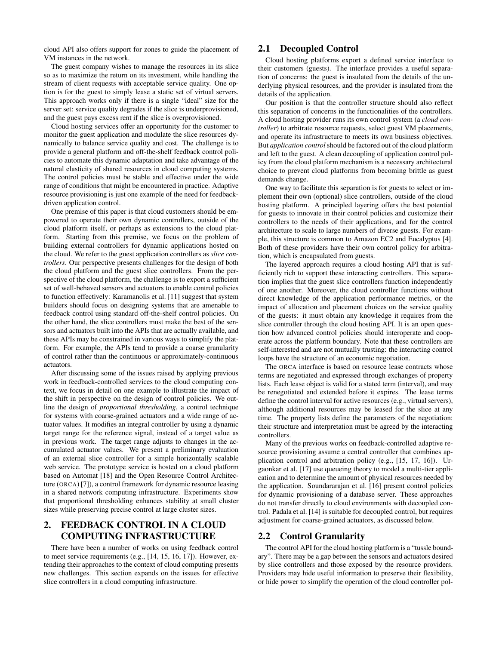cloud API also offers support for zones to guide the placement of VM instances in the network.

The guest company wishes to manage the resources in its slice so as to maximize the return on its investment, while handling the stream of client requests with acceptable service quality. One option is for the guest to simply lease a static set of virtual servers. This approach works only if there is a single "ideal" size for the server set: service quality degrades if the slice is underprovisioned, and the guest pays excess rent if the slice is overprovisioned.

Cloud hosting services offer an opportunity for the customer to monitor the guest application and modulate the slice resources dynamically to balance service quality and cost. The challenge is to provide a general platform and off-the-shelf feedback control policies to automate this dynamic adaptation and take advantage of the natural elasticity of shared resources in cloud computing systems. The control policies must be stable and effective under the wide range of conditions that might be encountered in practice. Adaptive resource provisioning is just one example of the need for feedbackdriven application control.

One premise of this paper is that cloud customers should be empowered to operate their own dynamic controllers, outside of the cloud platform itself, or perhaps as extensions to the cloud platform. Starting from this premise, we focus on the problem of building external controllers for dynamic applications hosted on the cloud. We refer to the guest application controllers as *slice controllers*. Our perspective presents challenges for the design of both the cloud platform and the guest slice controllers. From the perspective of the cloud platform, the challenge is to export a sufficient set of well-behaved sensors and actuators to enable control policies to function effectively: Karamanolis et al. [11] suggest that system builders should focus on designing systems that are amenable to feedback control using standard off-the-shelf control policies. On the other hand, the slice controllers must make the best of the sensors and actuators built into the APIs that are actually available, and these APIs may be constrained in various ways to simplify the platform. For example, the APIs tend to provide a coarse granularity of control rather than the continuous or approximately-continuous actuators.

After discussing some of the issues raised by applying previous work in feedback-controlled services to the cloud computing context, we focus in detail on one example to illustrate the impact of the shift in perspective on the design of control policies. We outline the design of *proportional thresholding*, a control technique for systems with coarse-grained actuators and a wide range of actuator values. It modifies an integral controller by using a dynamic target range for the reference signal, instead of a target value as in previous work. The target range adjusts to changes in the accumulated actuator values. We present a preliminary evaluation of an external slice controller for a simple horizontally scalable web service. The prototype service is hosted on a cloud platform based on Automat [18] and the Open Resource Control Architecture (ORCA) [7]), a control framework for dynamic resource leasing in a shared network computing infrastructure. Experiments show that proportional thresholding enhances stability at small cluster sizes while preserving precise control at large cluster sizes.

# 2. FEEDBACK CONTROL IN A CLOUD COMPUTING INFRASTRUCTURE

There have been a number of works on using feedback control to meet service requirements (e.g., [14, 15, 16, 17]). However, extending their approaches to the context of cloud computing presents new challenges. This section expands on the issues for effective slice controllers in a cloud computing infrastructure.

## 2.1 Decoupled Control

Cloud hosting platforms export a defined service interface to their customers (guests). The interface provides a useful separation of concerns: the guest is insulated from the details of the underlying physical resources, and the provider is insulated from the details of the application.

Our position is that the controller structure should also reflect this separation of concerns in the functionalities of the controllers. A cloud hosting provider runs its own control system (a *cloud controller*) to arbitrate resource requests, select guest VM placements, and operate its infrastructure to meets its own business objectives. But *application control* should be factored out of the cloud platform and left to the guest. A clean decoupling of application control policy from the cloud platform mechanism is a necessary architectural choice to prevent cloud platforms from becoming brittle as guest demands change.

One way to facilitate this separation is for guests to select or implement their own (optional) slice controllers, outside of the cloud hosting platform. A principled layering offers the best potential for guests to innovate in their control policies and customize their controllers to the needs of their applications, and for the control architecture to scale to large numbers of diverse guests. For example, this structure is common to Amazon EC2 and Eucalyptus [4]. Both of these providers have their own control policy for arbitration, which is encapsulated from guests.

The layered approach requires a cloud hosting API that is sufficiently rich to support these interacting controllers. This separation implies that the guest slice controllers function independently of one another. Moreover, the cloud controller functions without direct knowledge of the application performance metrics, or the impact of allocation and placement choices on the service quality of the guests: it must obtain any knowledge it requires from the slice controller through the cloud hosting API. It is an open question how advanced control policies should interoperate and cooperate across the platform boundary. Note that these controllers are self-interested and are not mutually trusting: the interacting control loops have the structure of an economic negotiation.

The ORCA interface is based on resource lease contracts whose terms are negotiated and expressed through exchanges of property lists. Each lease object is valid for a stated term (interval), and may be renegotiated and extended before it expires. The lease terms define the control interval for active resources (e.g., virtual servers), although additional resources may be leased for the slice at any time. The property lists define the parameters of the negotiation: their structure and interpretation must be agreed by the interacting controllers.

Many of the previous works on feedback-controlled adaptive resource provisioning assume a central controller that combines application control and arbitration policy (e.g., [15, 17, 16]). Urgaonkar et al. [17] use queueing theory to model a multi-tier application and to determine the amount of physical resources needed by the application. Soundararajan et al. [16] present control policies for dynamic provisioning of a database server. These approaches do not transfer directly to cloud environments with decoupled control. Padala et al. [14] is suitable for decoupled control, but requires adjustment for coarse-grained actuators, as discussed below.

### 2.2 Control Granularity

The control API for the cloud hosting platform is a "tussle boundary". There may be a gap between the sensors and actuators desired by slice controllers and those exposed by the resource providers. Providers may hide useful information to preserve their flexibility, or hide power to simplify the operation of the cloud controller pol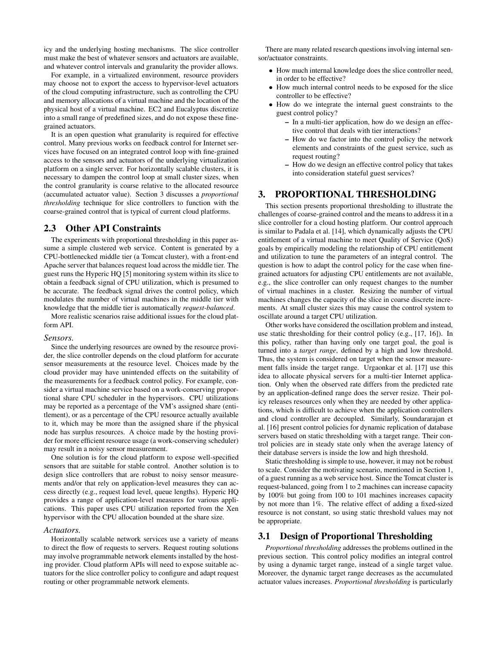icy and the underlying hosting mechanisms. The slice controller must make the best of whatever sensors and actuators are available, and whatever control intervals and granularity the provider allows.

For example, in a virtualized environment, resource providers may choose not to export the access to hypervisor-level actuators of the cloud computing infrastructure, such as controlling the CPU and memory allocations of a virtual machine and the location of the physical host of a virtual machine. EC2 and Eucalyptus discretize into a small range of predefined sizes, and do not expose these finegrained actuators.

It is an open question what granularity is required for effective control. Many previous works on feedback control for Internet services have focused on an integrated control loop with fine-grained access to the sensors and actuators of the underlying virtualization platform on a single server. For horizontally scalable clusters, it is necessary to dampen the control loop at small cluster sizes, when the control granularity is coarse relative to the allocated resource (accumulated actuator value). Section 3 discusses a *proportional thresholding* technique for slice controllers to function with the coarse-grained control that is typical of current cloud platforms.

# 2.3 Other API Constraints

The experiments with proportional thresholding in this paper assume a simple clustered web service. Content is generated by a CPU-bottlenecked middle tier (a Tomcat cluster), with a front-end Apache server that balances request load across the middle tier. The guest runs the Hyperic HQ [5] monitoring system within its slice to obtain a feedback signal of CPU utilization, which is presumed to be accurate. The feedback signal drives the control policy, which modulates the number of virtual machines in the middle tier with knowledge that the middle tier is automatically *request-balanced*.

More realistic scenarios raise additional issues for the cloud platform API.

#### *Sensors.*

Since the underlying resources are owned by the resource provider, the slice controller depends on the cloud platform for accurate sensor measurements at the resource level. Choices made by the cloud provider may have unintended effects on the suitability of the measurements for a feedback control policy. For example, consider a virtual machine service based on a work-conserving proportional share CPU scheduler in the hypervisors. CPU utilizations may be reported as a percentage of the VM's assigned share (entitlement), or as a percentage of the CPU resource actually available to it, which may be more than the assigned share if the physical node has surplus resources. A choice made by the hosting provider for more efficient resource usage (a work-conserving scheduler) may result in a noisy sensor measurement.

One solution is for the cloud platform to expose well-specified sensors that are suitable for stable control. Another solution is to design slice controllers that are robust to noisy sensor measurements and/or that rely on application-level measures they can access directly (e.g., request load level, queue lengths). Hyperic HQ provides a range of application-level measures for various applications. This paper uses CPU utilization reported from the Xen hypervisor with the CPU allocation bounded at the share size.

#### *Actuators.*

Horizontally scalable network services use a variety of means to direct the flow of requests to servers. Request routing solutions may involve programmable network elements installed by the hosting provider. Cloud platform APIs will need to expose suitable actuators for the slice controller policy to configure and adapt request routing or other programmable network elements.

There are many related research questions involving internal sensor/actuator constraints.

- How much internal knowledge does the slice controller need, in order to be effective?
- How much internal control needs to be exposed for the slice controller to be effective?
- How do we integrate the internal guest constraints to the guest control policy?
	- In a multi-tier application, how do we design an effective control that deals with tier interactions?
	- How do we factor into the control policy the network elements and constraints of the guest service, such as request routing?
	- How do we design an effective control policy that takes into consideration stateful guest services?

# 3. PROPORTIONAL THRESHOLDING

This section presents proportional thresholding to illustrate the challenges of coarse-grained control and the means to address it in a slice controller for a cloud hosting platform. Our control approach is similar to Padala et al. [14], which dynamically adjusts the CPU entitlement of a virtual machine to meet Quality of Service (QoS) goals by empirically modeling the relationship of CPU entitlement and utilization to tune the parameters of an integral control. The question is how to adapt the control policy for the case when finegrained actuators for adjusting CPU entitlements are not available, e.g., the slice controller can only request changes to the number of virtual machines in a cluster. Resizing the number of virtual machines changes the capacity of the slice in coarse discrete increments. At small cluster sizes this may cause the control system to oscillate around a target CPU utilization.

Other works have considered the oscillation problem and instead, use static thresholding for their control policy (e.g., [17, 16]). In this policy, rather than having only one target goal, the goal is turned into a *target range*, defined by a high and low threshold. Thus, the system is considered on target when the sensor measurement falls inside the target range. Urgaonkar et al. [17] use this idea to allocate physical servers for a multi-tier Internet application. Only when the observed rate differs from the predicted rate by an application-defined range does the server resize. Their policy releases resources only when they are needed by other applications, which is difficult to achieve when the application controllers and cloud controller are decoupled. Similarly, Soundararajan et al. [16] present control policies for dynamic replication of database servers based on static thresholding with a target range. Their control policies are in steady state only when the average latency of their database servers is inside the low and high threshold.

Static thresholding is simple to use, however, it may not be robust to scale. Consider the motivating scenario, mentioned in Section 1, of a guest running as a web service host. Since the Tomcat cluster is request-balanced, going from 1 to 2 machines can increase capacity by 100% but going from 100 to 101 machines increases capacity by not more than 1%. The relative effect of adding a fixed-sized resource is not constant, so using static threshold values may not be appropriate.

### 3.1 Design of Proportional Thresholding

*Proportional thresholding* addresses the problems outlined in the previous section. This control policy modifies an integral control by using a dynamic target range, instead of a single target value. Moreover, the dynamic target range decreases as the accumulated actuator values increases. *Proportional thresholding* is particularly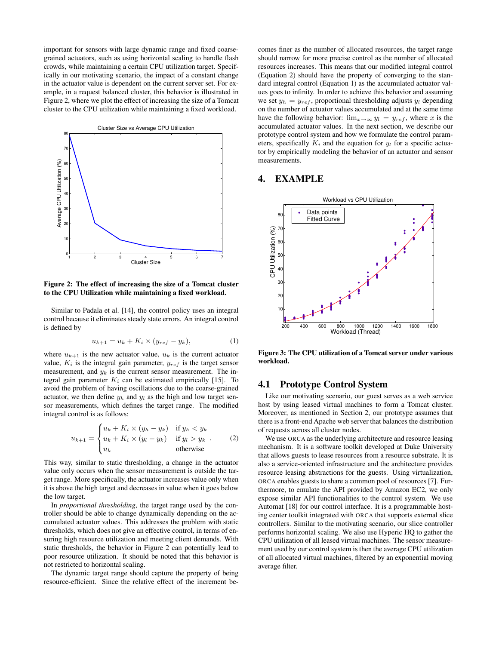important for sensors with large dynamic range and fixed coarsegrained actuators, such as using horizontal scaling to handle flash crowds, while maintaining a certain CPU utilization target. Specifically in our motivating scenario, the impact of a constant change in the actuator value is dependent on the current server set. For example, in a request balanced cluster, this behavior is illustrated in Figure 2, where we plot the effect of increasing the size of a Tomcat cluster to the CPU utilization while maintaining a fixed workload.



Figure 2: The effect of increasing the size of a Tomcat cluster to the CPU Utilization while maintaining a fixed workload.

Similar to Padala et al. [14], the control policy uses an integral control because it eliminates steady state errors. An integral control is defined by

$$
u_{k+1} = u_k + K_i \times (y_{ref} - y_k), \tag{1}
$$

where  $u_{k+1}$  is the new actuator value,  $u_k$  is the current actuator value,  $K_i$  is the integral gain parameter,  $y_{ref}$  is the target sensor measurement, and  $y_k$  is the current sensor measurement. The integral gain parameter  $K_i$  can be estimated empirically [15]. To avoid the problem of having oscillations due to the coarse-grained actuator, we then define  $y_h$  and  $y_l$  as the high and low target sensor measurements, which defines the target range. The modified integral control is as follows:

$$
u_{k+1} = \begin{cases} u_k + K_i \times (y_h - y_k) & \text{if } y_h < y_k \\ u_k + K_i \times (y_l - y_k) & \text{if } y_l > y_k \\ u_k & \text{otherwise} \end{cases} \tag{2}
$$

This way, similar to static thresholding, a change in the actuator value only occurs when the sensor measurement is outside the target range. More specifically, the actuator increases value only when it is above the high target and decreases in value when it goes below the low target.

In *proportional thresholding*, the target range used by the controller should be able to change dynamically depending on the accumulated actuator values. This addresses the problem with static thresholds, which does not give an effective control, in terms of ensuring high resource utilization and meeting client demands. With static thresholds, the behavior in Figure 2 can potentially lead to poor resource utilization. It should be noted that this behavior is not restricted to horizontal scaling.

The dynamic target range should capture the property of being resource-efficient. Since the relative effect of the increment becomes finer as the number of allocated resources, the target range should narrow for more precise control as the number of allocated resources increases. This means that our modified integral control (Equation 2) should have the property of converging to the standard integral control (Equation 1) as the accumulated actuator values goes to infinity. In order to achieve this behavior and assuming we set  $y_h = y_{ref}$ , proportional thresholding adjusts  $y_l$  depending on the number of actuator values accumulated and at the same time have the following behavior:  $\lim_{x\to\infty} y_i = y_{ref}$ , where x is the accumulated actuator values. In the next section, we describe our prototype control system and how we formulate the control parameters, specifically  $K_i$  and the equation for  $y_l$  for a specific actuator by empirically modeling the behavior of an actuator and sensor measurements.

# 4. EXAMPLE



Figure 3: The CPU utilization of a Tomcat server under various workload.

## 4.1 Prototype Control System

Like our motivating scenario, our guest serves as a web service host by using leased virtual machines to form a Tomcat cluster. Moreover, as mentioned in Section 2, our prototype assumes that there is a front-end Apache web server that balances the distribution of requests across all cluster nodes.

We use ORCA as the underlying architecture and resource leasing mechanism. It is a software toolkit developed at Duke University that allows guests to lease resources from a resource substrate. It is also a service-oriented infrastructure and the architecture provides resource leasing abstractions for the guests. Using virtualization, ORCA enables guests to share a common pool of resources [7]. Furthermore, to emulate the API provided by Amazon EC2, we only expose similar API functionalities to the control system. We use Automat [18] for our control interface. It is a programmable hosting center toolkit integrated with ORCA that supports external slice controllers. Similar to the motivating scenario, our slice controller performs horizontal scaling. We also use Hyperic HQ to gather the CPU utilization of all leased virtual machines. The sensor measurement used by our control system is then the average CPU utilization of all allocated virtual machines, filtered by an exponential moving average filter.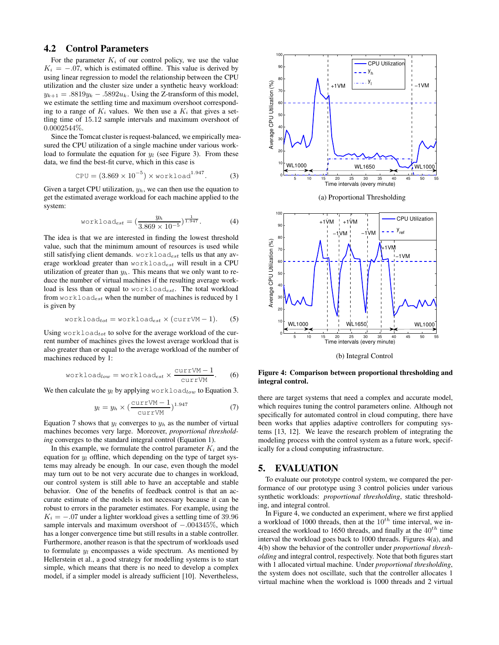# 4.2 Control Parameters

For the parameter  $K_i$  of our control policy, we use the value  $K_i = -0.07$ , which is estimated offline. This value is derived by using linear regression to model the relationship between the CPU utilization and the cluster size under a synthetic heavy workload:  $y_{k+1} = .8819y_k - .5892u_k$ . Using the Z-transform of this model, we estimate the settling time and maximum overshoot corresponding to a range of  $K_i$  values. We then use a  $K_i$  that gives a settling time of 15.12 sample intervals and maximum overshoot of 0.0002544%.

Since the Tomcat cluster is request-balanced, we empirically measured the CPU utilization of a single machine under various workload to formulate the equation for  $y_l$  (see Figure 3). From these data, we find the best-fit curve, which in this case is

$$
CPU = (3.869 \times 10^{-5}) \times \text{workload}^{1.947}.
$$
 (3)

Given a target CPU utilization,  $y_h$ , we can then use the equation to get the estimated average workload for each machine applied to the system:

workload<sub>est</sub> = 
$$
\left(\frac{y_h}{3.869 \times 10^{-5}}\right)^{\frac{1}{1.947}}
$$
. (4)

The idea is that we are interested in finding the lowest threshold value, such that the minimum amount of resources is used while still satisfying client demands. workloadest tells us that any average workload greater than workloadest will result in a CPU utilization of greater than  $y<sub>h</sub>$ . This means that we only want to reduce the number of virtual machines if the resulting average workload is less than or equal to  $workload_{est}$ . The total workload from  $workload_{est}$  when the number of machines is reduced by 1 is given by

$$
\text{workload}_{tot} = \text{workload}_{est} \times (\text{currVM} - 1). \tag{5}
$$

Using workload<sub>tot</sub> to solve for the average workload of the current number of machines gives the lowest average workload that is also greater than or equal to the average workload of the number of machines reduced by 1:

$$
\text{workload}_{low} = \text{workload}_{est} \times \frac{\text{currVM} - 1}{\text{currVM}}.\tag{6}
$$

We then calculate the  $y_l$  by applying workload<sub>low</sub> to Equation 3.

$$
y_l = y_h \times \left(\frac{\text{currVM} - 1}{\text{currVM}}\right)^{1.947} \tag{7}
$$

Equation 7 shows that  $y_l$  converges to  $y_h$  as the number of virtual machines becomes very large. Moreover, *proportional thresholding* converges to the standard integral control (Equation 1).

In this example, we formulate the control parameter  $K_i$  and the equation for  $y_l$  offline, which depending on the type of target systems may already be enough. In our case, even though the model may turn out to be not very accurate due to changes in workload, our control system is still able to have an acceptable and stable behavior. One of the benefits of feedback control is that an accurate estimate of the models is not necessary because it can be robust to errors in the parameter estimates. For example, using the  $K_i = -.07$  under a lighter workload gives a settling time of 39.96 sample intervals and maximum overshoot of −.004345%, which has a longer convergence time but still results in a stable controller. Furthermore, another reason is that the spectrum of workloads used to formulate  $y_l$  encompasses a wide spectrum. As mentioned by Hellerstein et al., a good strategy for modelling systems is to start simple, which means that there is no need to develop a complex model, if a simpler model is already sufficient [10]. Nevertheless,



Time intervals (every minute) (b) Integral Control

5 10 15 20 25 30 35 40 45 50 55

WL1000 | WL1650 | WL1000

Figure 4: Comparison between proportional thresholding and integral control.

there are target systems that need a complex and accurate model, which requires tuning the control parameters online. Although not specifically for automated control in cloud computing, there have been works that applies adaptive controllers for computing systems [13, 12]. We leave the research problem of integrating the modeling process with the control system as a future work, specifically for a cloud computing infrastructure.

### 5. EVALUATION

To evaluate our prototype control system, we compared the performance of our prototype using 3 control policies under various synthetic workloads: *proportional thresholding*, static thresholding, and integral control.

In Figure 4, we conducted an experiment, where we first applied a workload of 1000 threads, then at the  $10^{th}$  time interval, we increased the workload to 1650 threads, and finally at the  $40^{th}$  time interval the workload goes back to 1000 threads. Figures 4(a), and 4(b) show the behavior of the controller under *proportional thresholding* and integral control, respectively. Note that both figures start with 1 allocated virtual machine. Under *proportional thresholding*, the system does not oscillate, such that the controller allocates 1 virtual machine when the workload is 1000 threads and 2 virtual